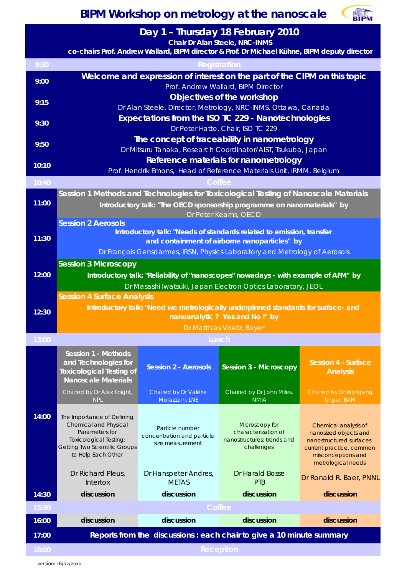

**Day 1 – Thursday 18 February 2010**

 **Chair Dr Alan Steele, NRC-INMS**

|       | Criali Di Alafi Steele, NKC-HVIVIS<br>co-chairs Prof. Andrew Wallard, BIPM director & Prof. Dr Michael Kühne, BIPM deputy director |                                               |                                                   |                                                                                                  |  |  |
|-------|------------------------------------------------------------------------------------------------------------------------------------|-----------------------------------------------|---------------------------------------------------|--------------------------------------------------------------------------------------------------|--|--|
| 8:30  | Registration                                                                                                                       |                                               |                                                   |                                                                                                  |  |  |
| 9:00  | Welcome and expression of interest on the part of the CIPM on this topic<br>Prof. Andrew Wallard, BIPM Director                    |                                               |                                                   |                                                                                                  |  |  |
| 9:15  | Objectives of the workshop<br>Dr Alan Steele, Director, Metrology, NRC-INMS, Ottawa, Canada                                        |                                               |                                                   |                                                                                                  |  |  |
| 9:30  | Expectations from the ISO TC 229 - Nanotechnologies<br>Dr Peter Hatto, Chair, ISO TC 229                                           |                                               |                                                   |                                                                                                  |  |  |
| 9:50  | The concept of traceability in nanometrology<br>Dr Mitsuru Tanaka, Research Coordinator/AIST, Tsukuba, Japan                       |                                               |                                                   |                                                                                                  |  |  |
| 10:10 | Reference materials for nanometrology<br>Prof. Hendrik Emons, Head of Reference Materials Unit, IRMM, Belgium                      |                                               |                                                   |                                                                                                  |  |  |
| 10:40 | <b>Coffee</b>                                                                                                                      |                                               |                                                   |                                                                                                  |  |  |
|       | Session 1 Methods and Technologies for Toxicological Testing of Nanoscale Materials                                                |                                               |                                                   |                                                                                                  |  |  |
| 11:00 | Introductory talk: "The OECD sponsorship programme on nanomaterials" by<br>Dr Peter Kearns, OECD                                   |                                               |                                                   |                                                                                                  |  |  |
|       | <b>Session 2 Aerosols</b>                                                                                                          |                                               |                                                   |                                                                                                  |  |  |
| 11:30 | Introductory talk: "Needs of standards related to emission, transfer<br>and containment of airborne nanoparticles" by              |                                               |                                                   |                                                                                                  |  |  |
|       | Dr François Gensdarmes, IRSN, Physics Laboratory and Metrology of Aerosols                                                         |                                               |                                                   |                                                                                                  |  |  |
|       | <b>Session 3 Microscopy</b>                                                                                                        |                                               |                                                   |                                                                                                  |  |  |
| 12:00 | Introductory talk: "Reliability of "nanoscopes" nowadays - with example of AFM" by                                                 |                                               |                                                   |                                                                                                  |  |  |
|       | Dr Masashi Iwatsuki, Japan Electron Optics Laboratory, JEOL                                                                        |                                               |                                                   |                                                                                                  |  |  |
|       | <b>Session 4 Surface Analysis</b>                                                                                                  |                                               |                                                   |                                                                                                  |  |  |
| 12:30 | Introductory talk: "Need we metrologically underpinned standards for surface- and<br>nanoanalytic ? Yes and No!" by                |                                               |                                                   |                                                                                                  |  |  |
|       | Dr Matthias Voetz, Bayer                                                                                                           |                                               |                                                   |                                                                                                  |  |  |
| 13:00 | Lunch                                                                                                                              |                                               |                                                   |                                                                                                  |  |  |
|       | <b>Session 1 - Methods</b>                                                                                                         |                                               |                                                   |                                                                                                  |  |  |
|       | and Technologies for<br><b>Toxicological Testing of</b><br><b>Nanoscale Materials</b>                                              | <b>Session 2 - Aerosols</b>                   | <b>Session 3 - Microscopy</b>                     | Session 4 - Surface<br><b>Analysis</b>                                                           |  |  |
|       | Chaired by Dr Alex Knight,                                                                                                         | Chaired by Dr Valérie                         | Chaired by Dr John Miles,                         | Chaired by Dr Wolfgang                                                                           |  |  |
|       | <b>NPL</b>                                                                                                                         | Morazzani, LNE                                | <b>NMIA</b>                                       | Unger, BAM                                                                                       |  |  |
| 14:00 | The Importance of Defining<br>Chemical and Physical                                                                                |                                               | Microscopy for                                    | Chemical analysis of                                                                             |  |  |
|       | Parameters for<br>Toxicological Testing:                                                                                           | Particle number<br>concentration and particle | characterization of<br>nanostructures: trends and | nanosized objects and                                                                            |  |  |
|       |                                                                                                                                    |                                               |                                                   |                                                                                                  |  |  |
|       | Getting Two Scientific Groups<br>to Help Each Other                                                                                | size measurement                              | challenges                                        | nanostructured surfaces:<br>current practice, common<br>misconceptions and<br>metrological needs |  |  |
|       | Dr Richard Pleus,<br>Intertox                                                                                                      | Dr Hanspeter Andres,<br><b>METAS</b>          | Dr Harald Bosse<br>PTB                            | Dr Ronald R. Baer, PNNL                                                                          |  |  |
| 14:30 | discussion                                                                                                                         | discussion                                    | discussion                                        | discussion                                                                                       |  |  |
| 15:30 |                                                                                                                                    |                                               | Coffee                                            |                                                                                                  |  |  |
| 16:00 | discussion                                                                                                                         | discussion                                    | discussion                                        | discussion                                                                                       |  |  |